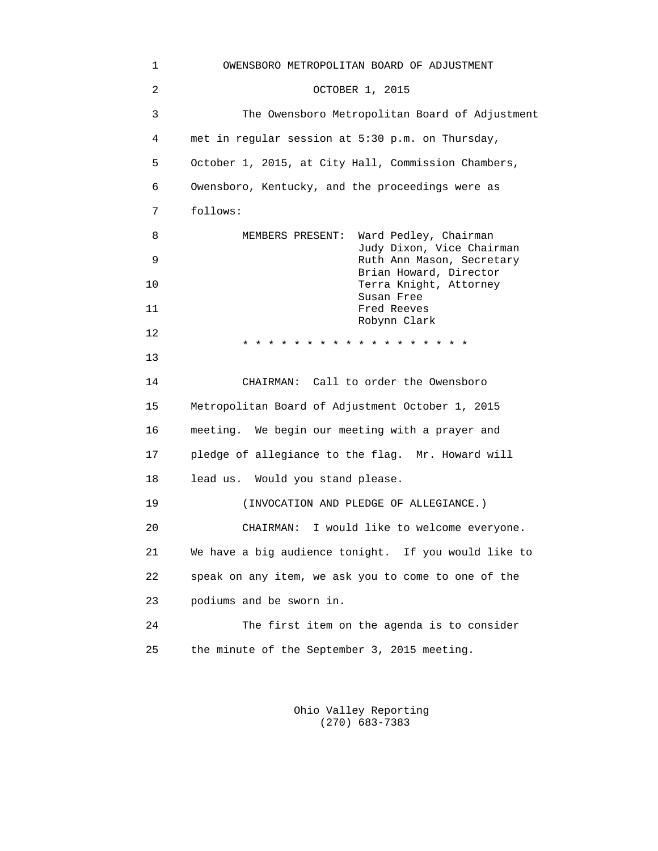1 OWENSBORO METROPOLITAN BOARD OF ADJUSTMENT 2 OCTOBER 1, 2015 3 The Owensboro Metropolitan Board of Adjustment 4 met in regular session at 5:30 p.m. on Thursday, 5 October 1, 2015, at City Hall, Commission Chambers, 6 Owensboro, Kentucky, and the proceedings were as 7 follows: 8 MEMBERS PRESENT: Ward Pedley, Chairman Judy Dixon, Vice Chairman<br>Puth Ann Mason, Secretary Ruth Ann Mason, Secretary Brian Howard, Director<br>Terra Knight, Attorney Terra Knight, Attorney Susan Free 11 Fred Reeves Robynn Clark 12 \* \* \* \* \* \* \* \* \* \* \* \* \* \* \* \* \* \* 13 14 CHAIRMAN: Call to order the Owensboro 15 Metropolitan Board of Adjustment October 1, 2015 16 meeting. We begin our meeting with a prayer and 17 pledge of allegiance to the flag. Mr. Howard will 18 lead us. Would you stand please. 19 (INVOCATION AND PLEDGE OF ALLEGIANCE.) 20 CHAIRMAN: I would like to welcome everyone. 21 We have a big audience tonight. If you would like to 22 speak on any item, we ask you to come to one of the 23 podiums and be sworn in. 24 The first item on the agenda is to consider 25 the minute of the September 3, 2015 meeting.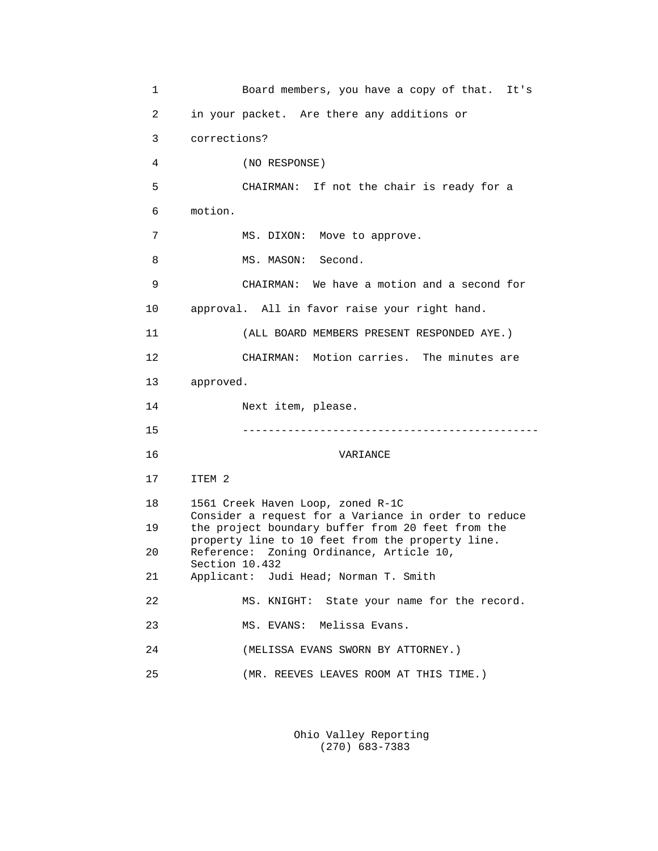```
 1 Board members, you have a copy of that. It's 
 2 in your packet. Are there any additions or 
 3 corrections? 
 4 (NO RESPONSE) 
 5 CHAIRMAN: If not the chair is ready for a 
 6 motion. 
7 MS. DIXON: Move to approve.
8 MS. MASON: Second.
 9 CHAIRMAN: We have a motion and a second for 
 10 approval. All in favor raise your right hand. 
 11 (ALL BOARD MEMBERS PRESENT RESPONDED AYE.) 
 12 CHAIRMAN: Motion carries. The minutes are 
 13 approved. 
 14 Next item, please. 
 15 ---------------------------------------------- 
 16 VARIANCE 
 17 ITEM 2 
 18 1561 Creek Haven Loop, zoned R-1C 
       Consider a request for a Variance in order to reduce 
 19 the project boundary buffer from 20 feet from the 
      property line to 10 feet from the property line. 
 20 Reference: Zoning Ordinance, Article 10, 
       Section 10.432 
 21 Applicant: Judi Head; Norman T. Smith 
 22 MS. KNIGHT: State your name for the record. 
 23 MS. EVANS: Melissa Evans. 
 24 (MELISSA EVANS SWORN BY ATTORNEY.) 
 25 (MR. REEVES LEAVES ROOM AT THIS TIME.)
```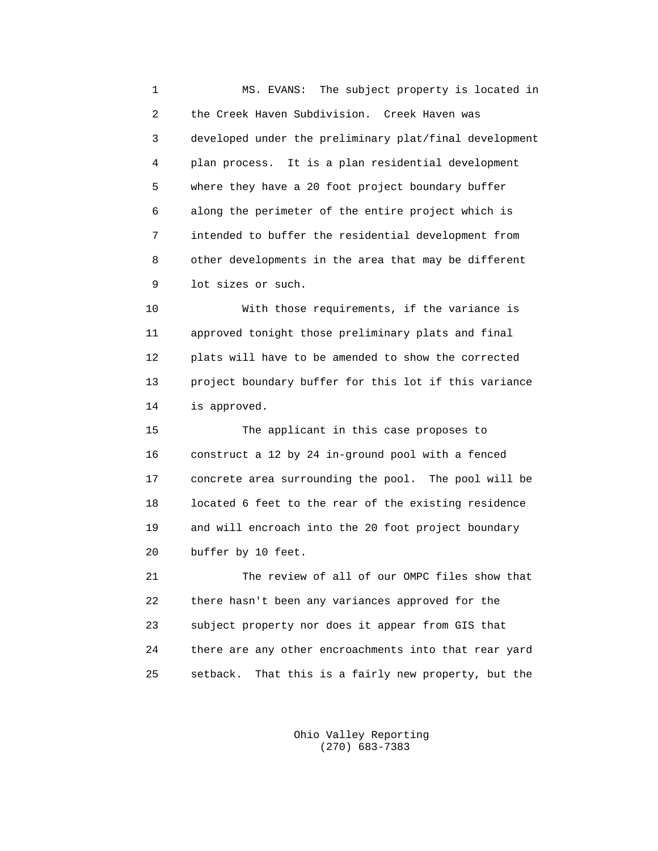1 MS. EVANS: The subject property is located in 2 the Creek Haven Subdivision. Creek Haven was 3 developed under the preliminary plat/final development 4 plan process. It is a plan residential development 5 where they have a 20 foot project boundary buffer 6 along the perimeter of the entire project which is 7 intended to buffer the residential development from 8 other developments in the area that may be different 9 lot sizes or such.

 10 With those requirements, if the variance is 11 approved tonight those preliminary plats and final 12 plats will have to be amended to show the corrected 13 project boundary buffer for this lot if this variance 14 is approved.

 15 The applicant in this case proposes to 16 construct a 12 by 24 in-ground pool with a fenced 17 concrete area surrounding the pool. The pool will be 18 located 6 feet to the rear of the existing residence 19 and will encroach into the 20 foot project boundary 20 buffer by 10 feet.

 21 The review of all of our OMPC files show that 22 there hasn't been any variances approved for the 23 subject property nor does it appear from GIS that 24 there are any other encroachments into that rear yard 25 setback. That this is a fairly new property, but the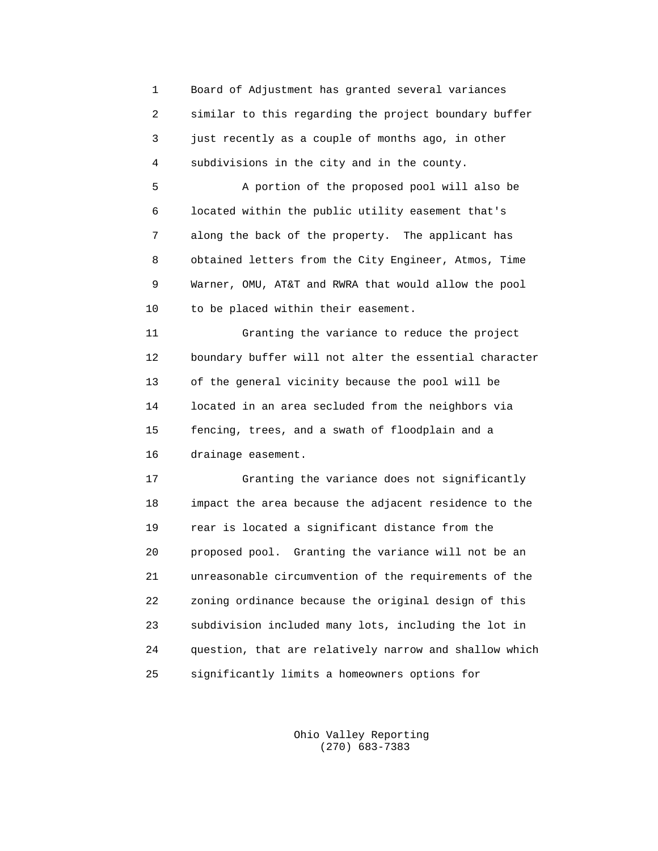1 Board of Adjustment has granted several variances 2 similar to this regarding the project boundary buffer 3 just recently as a couple of months ago, in other 4 subdivisions in the city and in the county.

 5 A portion of the proposed pool will also be 6 located within the public utility easement that's 7 along the back of the property. The applicant has 8 obtained letters from the City Engineer, Atmos, Time 9 Warner, OMU, AT&T and RWRA that would allow the pool 10 to be placed within their easement.

 11 Granting the variance to reduce the project 12 boundary buffer will not alter the essential character 13 of the general vicinity because the pool will be 14 located in an area secluded from the neighbors via 15 fencing, trees, and a swath of floodplain and a 16 drainage easement.

 17 Granting the variance does not significantly 18 impact the area because the adjacent residence to the 19 rear is located a significant distance from the 20 proposed pool. Granting the variance will not be an 21 unreasonable circumvention of the requirements of the 22 zoning ordinance because the original design of this 23 subdivision included many lots, including the lot in 24 question, that are relatively narrow and shallow which 25 significantly limits a homeowners options for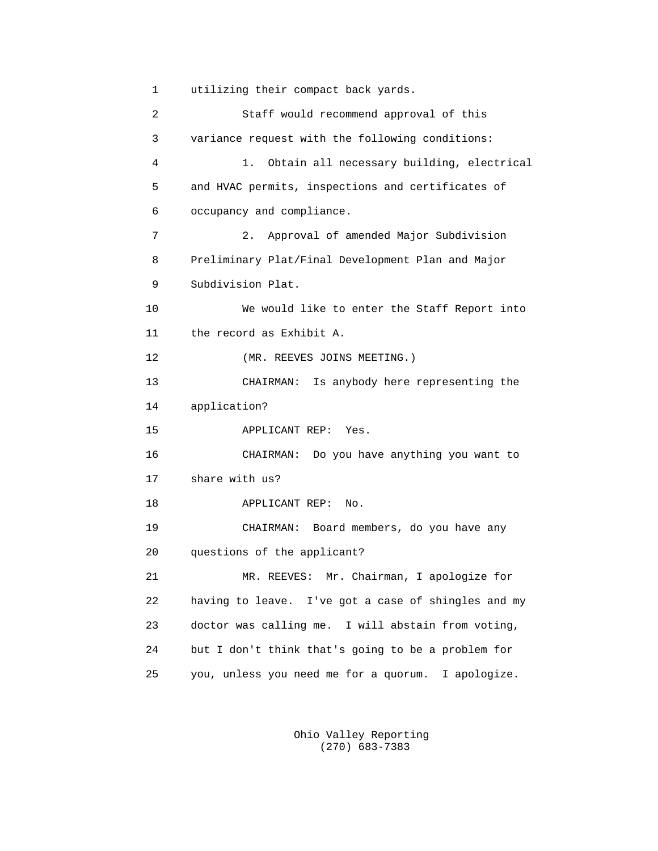1 utilizing their compact back yards. 2 Staff would recommend approval of this 3 variance request with the following conditions: 4 1. Obtain all necessary building, electrical 5 and HVAC permits, inspections and certificates of 6 occupancy and compliance. 7 2. Approval of amended Major Subdivision 8 Preliminary Plat/Final Development Plan and Major 9 Subdivision Plat. 10 We would like to enter the Staff Report into 11 the record as Exhibit A. 12 (MR. REEVES JOINS MEETING.) 13 CHAIRMAN: Is anybody here representing the 14 application? 15 APPLICANT REP: Yes. 16 CHAIRMAN: Do you have anything you want to 17 share with us? 18 APPLICANT REP: No. 19 CHAIRMAN: Board members, do you have any 20 questions of the applicant? 21 MR. REEVES: Mr. Chairman, I apologize for 22 having to leave. I've got a case of shingles and my 23 doctor was calling me. I will abstain from voting, 24 but I don't think that's going to be a problem for 25 you, unless you need me for a quorum. I apologize.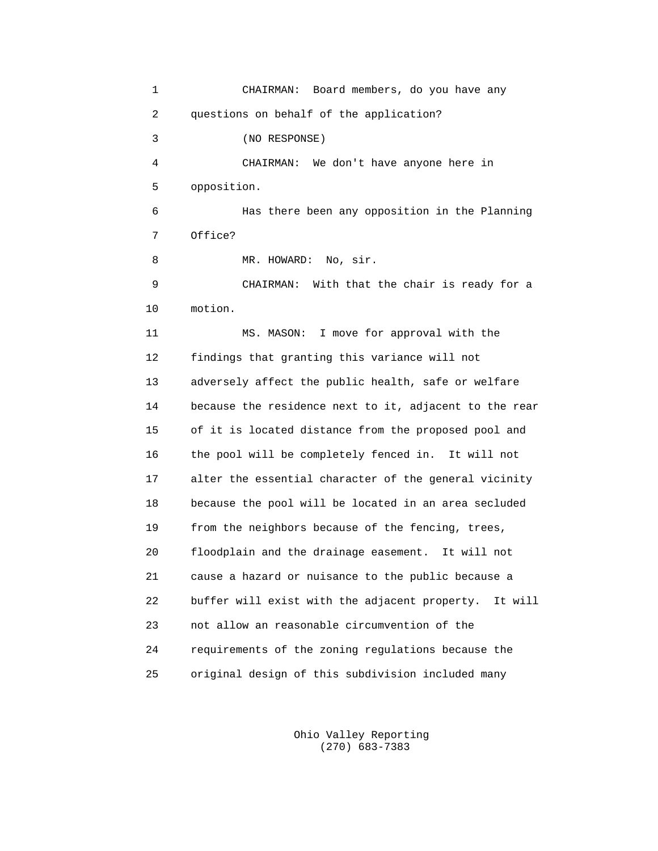1 CHAIRMAN: Board members, do you have any 2 questions on behalf of the application? 3 (NO RESPONSE) 4 CHAIRMAN: We don't have anyone here in 5 opposition. 6 Has there been any opposition in the Planning 7 Office? 8 MR. HOWARD: No, sir. 9 CHAIRMAN: With that the chair is ready for a 10 motion. 11 MS. MASON: I move for approval with the 12 findings that granting this variance will not 13 adversely affect the public health, safe or welfare 14 because the residence next to it, adjacent to the rear 15 of it is located distance from the proposed pool and 16 the pool will be completely fenced in. It will not 17 alter the essential character of the general vicinity 18 because the pool will be located in an area secluded 19 from the neighbors because of the fencing, trees, 20 floodplain and the drainage easement. It will not 21 cause a hazard or nuisance to the public because a 22 buffer will exist with the adjacent property. It will 23 not allow an reasonable circumvention of the 24 requirements of the zoning regulations because the 25 original design of this subdivision included many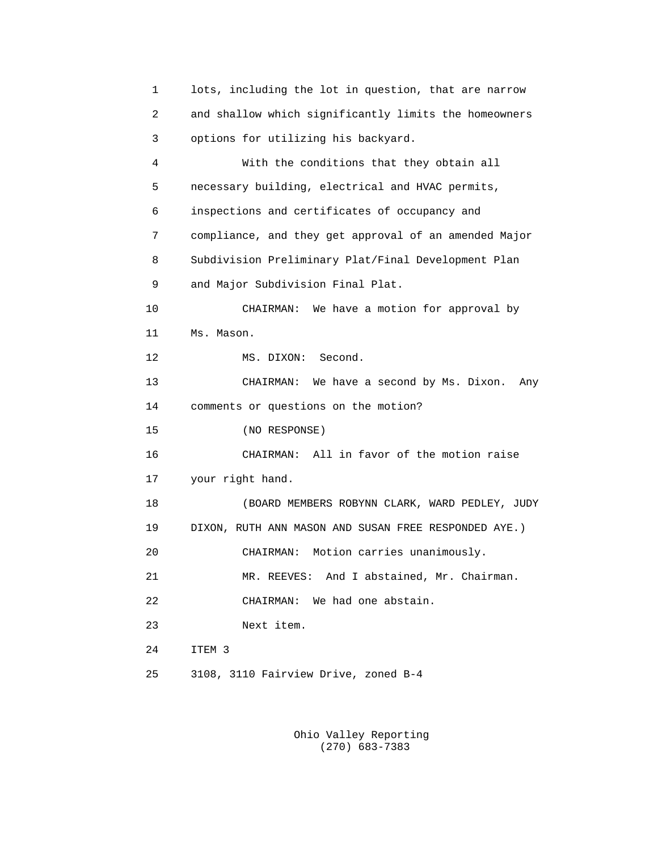1 lots, including the lot in question, that are narrow 2 and shallow which significantly limits the homeowners 3 options for utilizing his backyard. 4 With the conditions that they obtain all 5 necessary building, electrical and HVAC permits, 6 inspections and certificates of occupancy and 7 compliance, and they get approval of an amended Major 8 Subdivision Preliminary Plat/Final Development Plan 9 and Major Subdivision Final Plat. 10 CHAIRMAN: We have a motion for approval by 11 Ms. Mason. 12 MS. DIXON: Second. 13 CHAIRMAN: We have a second by Ms. Dixon. Any 14 comments or questions on the motion? 15 (NO RESPONSE) 16 CHAIRMAN: All in favor of the motion raise 17 your right hand. 18 (BOARD MEMBERS ROBYNN CLARK, WARD PEDLEY, JUDY 19 DIXON, RUTH ANN MASON AND SUSAN FREE RESPONDED AYE.) 20 CHAIRMAN: Motion carries unanimously. 21 MR. REEVES: And I abstained, Mr. Chairman. 22 CHAIRMAN: We had one abstain. 23 Next item. 24 ITEM 3 25 3108, 3110 Fairview Drive, zoned B-4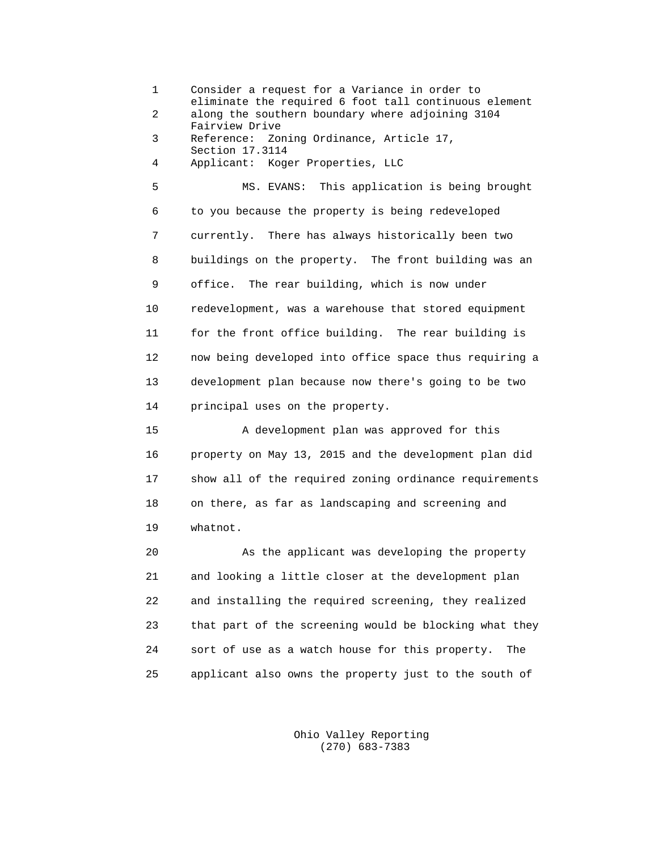1 Consider a request for a Variance in order to eliminate the required 6 foot tall continuous element 2 along the southern boundary where adjoining 3104 Fairview Drive 3 Reference: Zoning Ordinance, Article 17, Section 17.3114 4 Applicant: Koger Properties, LLC 5 MS. EVANS: This application is being brought 6 to you because the property is being redeveloped 7 currently. There has always historically been two 8 buildings on the property. The front building was an 9 office. The rear building, which is now under 10 redevelopment, was a warehouse that stored equipment 11 for the front office building. The rear building is 12 now being developed into office space thus requiring a 13 development plan because now there's going to be two 14 principal uses on the property.

 15 A development plan was approved for this 16 property on May 13, 2015 and the development plan did 17 show all of the required zoning ordinance requirements 18 on there, as far as landscaping and screening and 19 whatnot.

 20 As the applicant was developing the property 21 and looking a little closer at the development plan 22 and installing the required screening, they realized 23 that part of the screening would be blocking what they 24 sort of use as a watch house for this property. The 25 applicant also owns the property just to the south of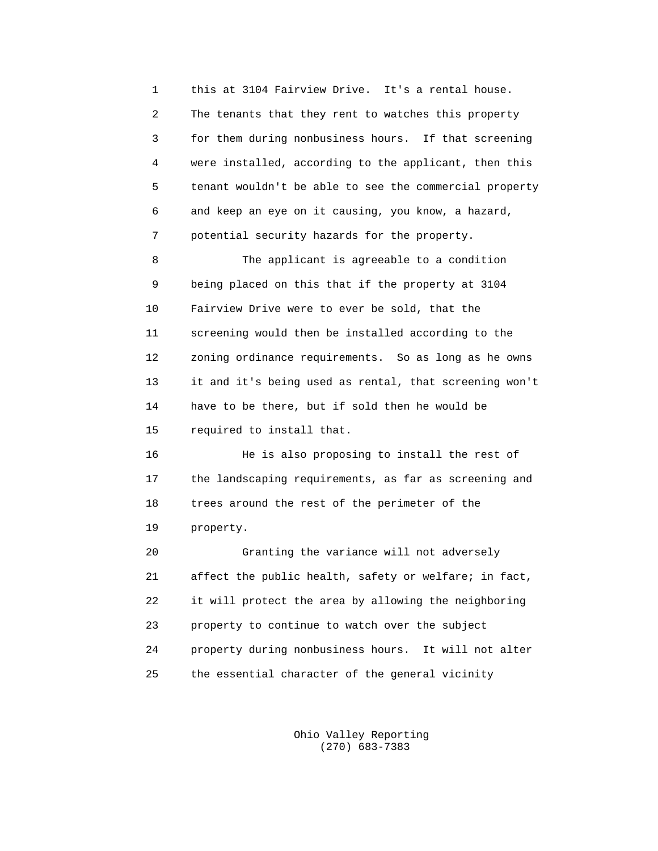1 this at 3104 Fairview Drive. It's a rental house. 2 The tenants that they rent to watches this property 3 for them during nonbusiness hours. If that screening 4 were installed, according to the applicant, then this 5 tenant wouldn't be able to see the commercial property 6 and keep an eye on it causing, you know, a hazard, 7 potential security hazards for the property. 8 The applicant is agreeable to a condition 9 being placed on this that if the property at 3104 10 Fairview Drive were to ever be sold, that the 11 screening would then be installed according to the 12 zoning ordinance requirements. So as long as he owns 13 it and it's being used as rental, that screening won't 14 have to be there, but if sold then he would be 15 required to install that.

 16 He is also proposing to install the rest of 17 the landscaping requirements, as far as screening and 18 trees around the rest of the perimeter of the 19 property.

 20 Granting the variance will not adversely 21 affect the public health, safety or welfare; in fact, 22 it will protect the area by allowing the neighboring 23 property to continue to watch over the subject 24 property during nonbusiness hours. It will not alter 25 the essential character of the general vicinity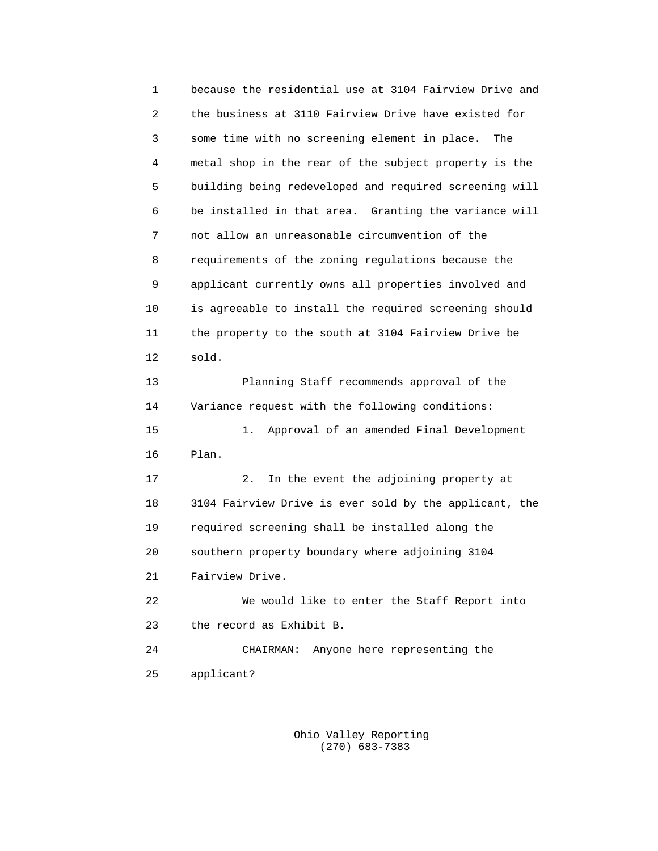1 because the residential use at 3104 Fairview Drive and 2 the business at 3110 Fairview Drive have existed for 3 some time with no screening element in place. The 4 metal shop in the rear of the subject property is the 5 building being redeveloped and required screening will 6 be installed in that area. Granting the variance will 7 not allow an unreasonable circumvention of the 8 requirements of the zoning regulations because the 9 applicant currently owns all properties involved and 10 is agreeable to install the required screening should 11 the property to the south at 3104 Fairview Drive be 12 sold. 13 Planning Staff recommends approval of the 14 Variance request with the following conditions: 15 1. Approval of an amended Final Development 16 Plan. 17 2. In the event the adjoining property at 18 3104 Fairview Drive is ever sold by the applicant, the 19 required screening shall be installed along the 20 southern property boundary where adjoining 3104 21 Fairview Drive. 22 We would like to enter the Staff Report into 23 the record as Exhibit B. 24 CHAIRMAN: Anyone here representing the 25 applicant?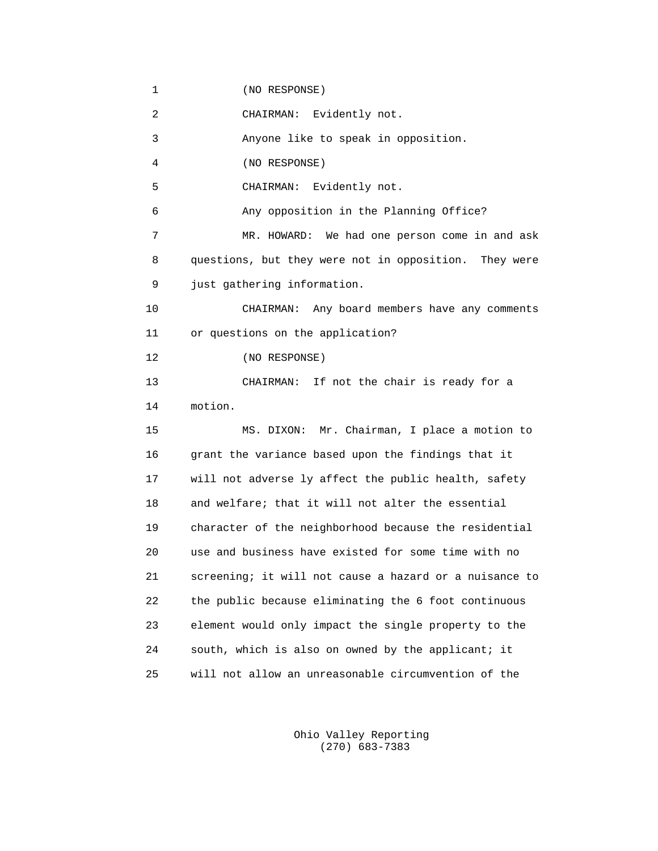1 (NO RESPONSE)

2 CHAIRMAN: Evidently not.

3 Anyone like to speak in opposition.

4 (NO RESPONSE)

5 CHAIRMAN: Evidently not.

6 Any opposition in the Planning Office?

 7 MR. HOWARD: We had one person come in and ask 8 questions, but they were not in opposition. They were 9 just gathering information.

 10 CHAIRMAN: Any board members have any comments 11 or questions on the application?

12 (NO RESPONSE)

 13 CHAIRMAN: If not the chair is ready for a 14 motion.

 15 MS. DIXON: Mr. Chairman, I place a motion to 16 grant the variance based upon the findings that it 17 will not adverse ly affect the public health, safety 18 and welfare; that it will not alter the essential 19 character of the neighborhood because the residential 20 use and business have existed for some time with no 21 screening; it will not cause a hazard or a nuisance to 22 the public because eliminating the 6 foot continuous 23 element would only impact the single property to the 24 south, which is also on owned by the applicant; it 25 will not allow an unreasonable circumvention of the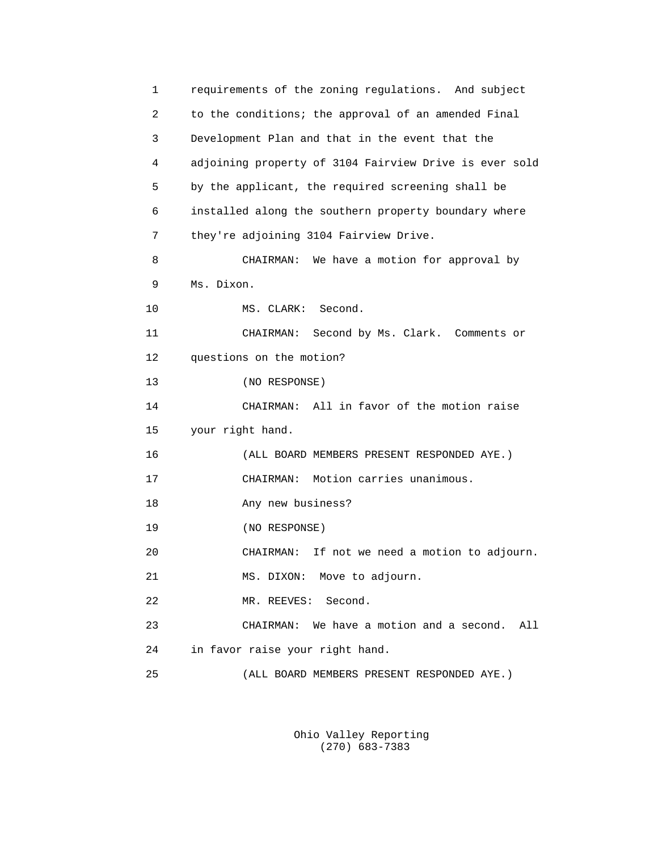1 requirements of the zoning regulations. And subject 2 to the conditions; the approval of an amended Final 3 Development Plan and that in the event that the 4 adjoining property of 3104 Fairview Drive is ever sold 5 by the applicant, the required screening shall be 6 installed along the southern property boundary where 7 they're adjoining 3104 Fairview Drive. 8 CHAIRMAN: We have a motion for approval by 9 Ms. Dixon. 10 MS. CLARK: Second. 11 CHAIRMAN: Second by Ms. Clark. Comments or 12 questions on the motion? 13 (NO RESPONSE) 14 CHAIRMAN: All in favor of the motion raise 15 your right hand. 16 (ALL BOARD MEMBERS PRESENT RESPONDED AYE.) 17 CHAIRMAN: Motion carries unanimous. 18 Any new business? 19 (NO RESPONSE) 20 CHAIRMAN: If not we need a motion to adjourn. 21 MS. DIXON: Move to adjourn. 22 MR. REEVES: Second. 23 CHAIRMAN: We have a motion and a second. All 24 in favor raise your right hand. 25 (ALL BOARD MEMBERS PRESENT RESPONDED AYE.)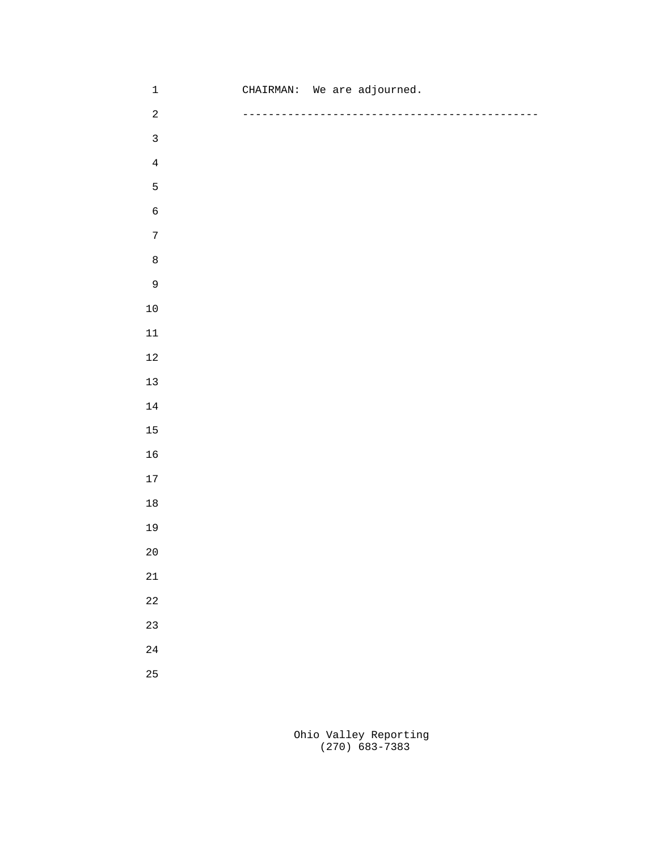| $\mathbf 1$             | CHAIRMAN: We are adjourned.    |
|-------------------------|--------------------------------|
| $\overline{\mathbf{c}}$ | ------------------------------ |
| $\mathbf{3}$            |                                |
| $\bf 4$                 |                                |
| $\overline{5}$          |                                |
| $\epsilon$              |                                |
| $\overline{7}$          |                                |
| $\,8\,$                 |                                |
| 9                       |                                |
| $10\,$                  |                                |
| $11\,$                  |                                |
| $12\,$                  |                                |
| $13\,$                  |                                |
| $14\,$                  |                                |
| $15\,$                  |                                |
| $16\,$                  |                                |
| $17\,$                  |                                |
| $18\,$                  |                                |
| 19                      |                                |
| 20                      |                                |
| $21\,$                  |                                |
| $2\sqrt{2}$             |                                |
| 23                      |                                |
| 24                      |                                |
| 25                      |                                |